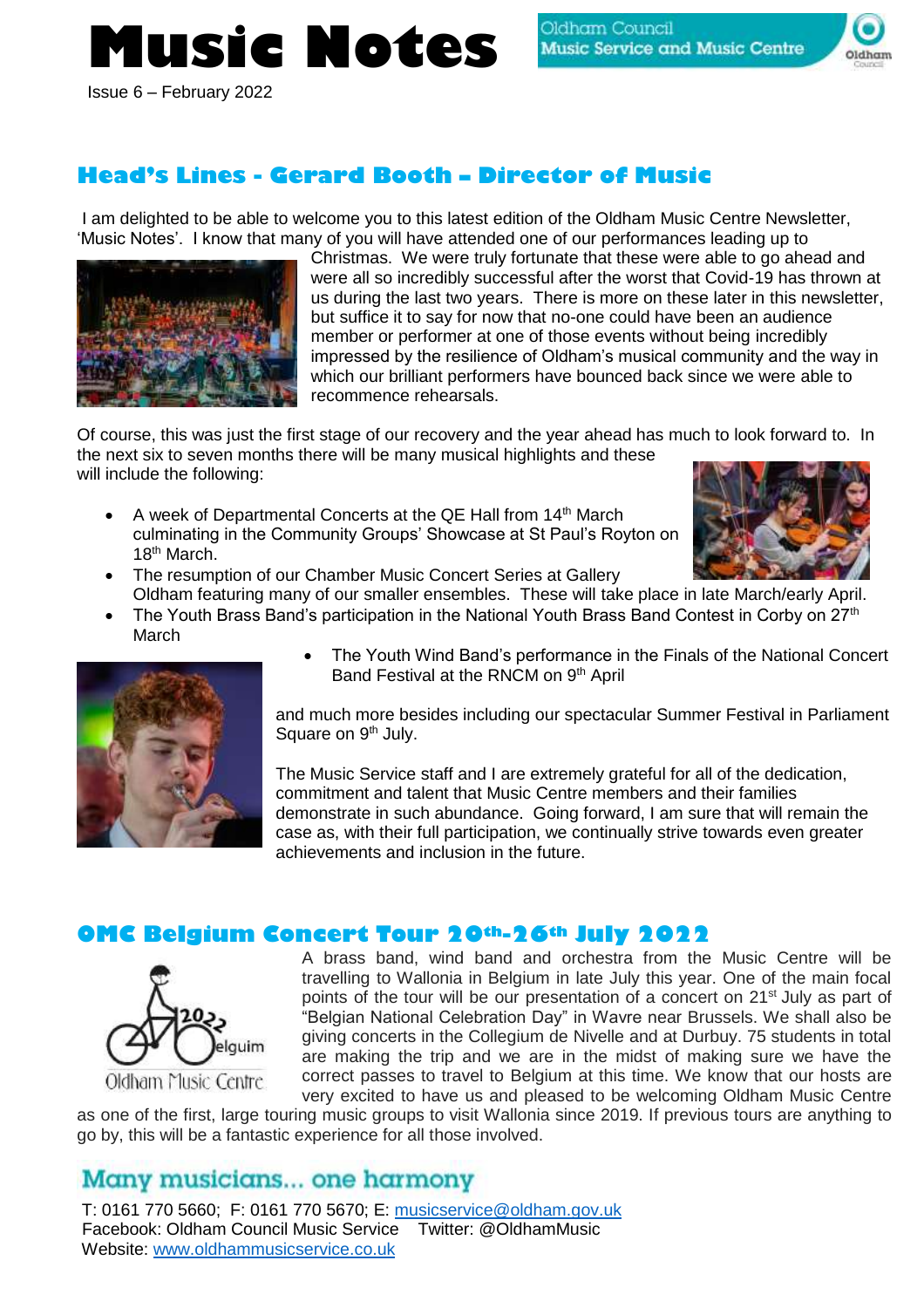# **Music Notes**



Issue 6 – February 2022

# **Head's Lines - Gerard Booth – Director of Music**

I am delighted to be able to welcome you to this latest edition of the Oldham Music Centre Newsletter, 'Music Notes'. I know that many of you will have attended one of our performances leading up to



Christmas. We were truly fortunate that these were able to go ahead and were all so incredibly successful after the worst that Covid-19 has thrown at us during the last two years. There is more on these later in this newsletter, but suffice it to say for now that no-one could have been an audience member or performer at one of those events without being incredibly impressed by the resilience of Oldham's musical community and the way in which our brilliant performers have bounced back since we were able to recommence rehearsals.

Of course, this was just the first stage of our recovery and the year ahead has much to look forward to. In the next six to seven months there will be many musical highlights and these will include the following:

• A week of Departmental Concerts at the QE Hall from 14<sup>th</sup> March culminating in the Community Groups' Showcase at St Paul's Royton on 18<sup>th</sup> March.



- The resumption of our Chamber Music Concert Series at Gallery Oldham featuring many of our smaller ensembles. These will take place in late March/early April.
- The Youth Brass Band's participation in the National Youth Brass Band Contest in Corby on 27<sup>th</sup> March



• The Youth Wind Band's performance in the Finals of the National Concert Band Festival at the RNCM on 9<sup>th</sup> April

and much more besides including our spectacular Summer Festival in Parliament Square on 9<sup>th</sup> July.

The Music Service staff and I are extremely grateful for all of the dedication, commitment and talent that Music Centre members and their families demonstrate in such abundance. Going forward, I am sure that will remain the case as, with their full participation, we continually strive towards even greater achievements and inclusion in the future.

## **OMC Belgium Concert Tour 20th-26th July 2022**



A brass band, wind band and orchestra from the Music Centre will be travelling to Wallonia in Belgium in late July this year. One of the main focal points of the tour will be our presentation of a concert on 21<sup>st</sup> July as part of "Belgian National Celebration Day" in Wavre near Brussels. We shall also be giving concerts in the Collegium de Nivelle and at Durbuy. 75 students in total are making the trip and we are in the midst of making sure we have the correct passes to travel to Belgium at this time. We know that our hosts are very excited to have us and pleased to be welcoming Oldham Music Centre

as one of the first, large touring music groups to visit Wallonia since 2019. If previous tours are anything to go by, this will be a fantastic experience for all those involved.

# Many musicians... one harmony

T: 0161 770 5660; F: 0161 770 5670; E: [musicservice@oldham.gov.uk](mailto:musicservice@oldham.gov.uk) Facebook: Oldham Council Music Service Twitter: @OldhamMusic Website: [www.oldhammusicservice.co.uk](http://www.oldhammusicservice.co.uk/)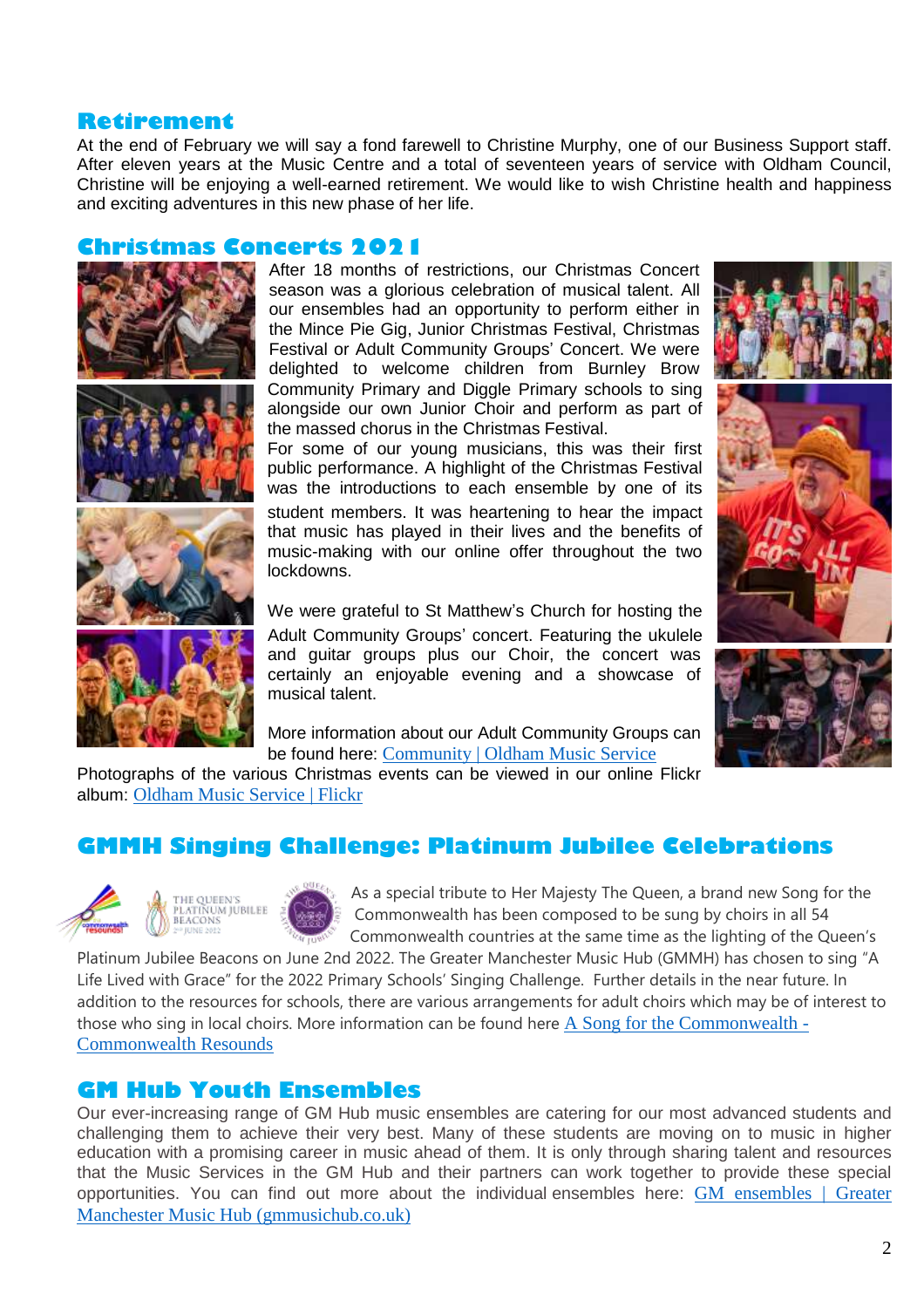## **Retirement**

At the end of February we will say a fond farewell to Christine Murphy, one of our Business Support staff. After eleven years at the Music Centre and a total of seventeen years of service with Oldham Council, Christine will be enjoying a well-earned retirement. We would like to wish Christine health and happiness and exciting adventures in this new phase of her life.

## **Christmas Concerts 2021**









After 18 months of restrictions, our Christmas Concert season was a glorious celebration of musical talent. All our ensembles had an opportunity to perform either in the Mince Pie Gig, Junior Christmas Festival, Christmas Festival or Adult Community Groups' Concert. We were delighted to welcome children from Burnley Brow Community Primary and Diggle Primary schools to sing alongside our own Junior Choir and perform as part of the massed chorus in the Christmas Festival.

For some of our young musicians, this was their first public performance. A highlight of the Christmas Festival was the introductions to each ensemble by one of its student members. It was heartening to hear the impact that music has played in their lives and the benefits of music-making with our online offer throughout the two lockdowns.

We were grateful to St Matthew's Church for hosting the Adult Community Groups' concert. Featuring the ukulele and guitar groups plus our Choir, the concert was certainly an enjoyable evening and a showcase of musical talent.

More information about our Adult Community Groups can be found here: [Community | Oldham Music Service](http://oldhammusicservice.co.uk/community/)





Photographs of the various Christmas events can be viewed in our online Flickr album: [Oldham Music Service | Flickr](https://www.flickr.com/photos/oldhammusic/)

## **GMMH Singing Challenge: Platinum Jubilee Celebrations**



As a special tribute to Her Majesty The Queen, a brand new Song for the Commonwealth has been composed to be sung by choirs in all 54 Commonwealth countries at the same time as the lighting of the Queen's

Platinum Jubilee Beacons on June 2nd 2022. The Greater Manchester Music Hub (GMMH) has chosen to sing "A Life Lived with Grace" for the 2022 Primary Schools' Singing Challenge. Further details in the near future. In addition to the resources for schools, there are various arrangements for adult choirs which may be of interest to those who sing in local choirs. More information can be found here [A Song for the Commonwealth -](https://www.commonwealthresounds.com/projects/the-queens-platinum-jubilee/a-song-for-the-commonwealth/) [Commonwealth Resounds](https://www.commonwealthresounds.com/projects/the-queens-platinum-jubilee/a-song-for-the-commonwealth/)

## **GM Hub Youth Ensembles**

Our ever-increasing range of GM Hub music ensembles are catering for our most advanced students and challenging them to achieve their very best. Many of these students are moving on to music in higher education with a promising career in music ahead of them. It is only through sharing talent and resources that the Music Services in the GM Hub and their partners can work together to provide these special opportunities. You can find out more about the individual ensembles here: [GM ensembles | Greater](http://gmmusichub.co.uk/gm-ensembles/)  [Manchester Music Hub \(gmmusichub.co.uk\)](http://gmmusichub.co.uk/gm-ensembles/)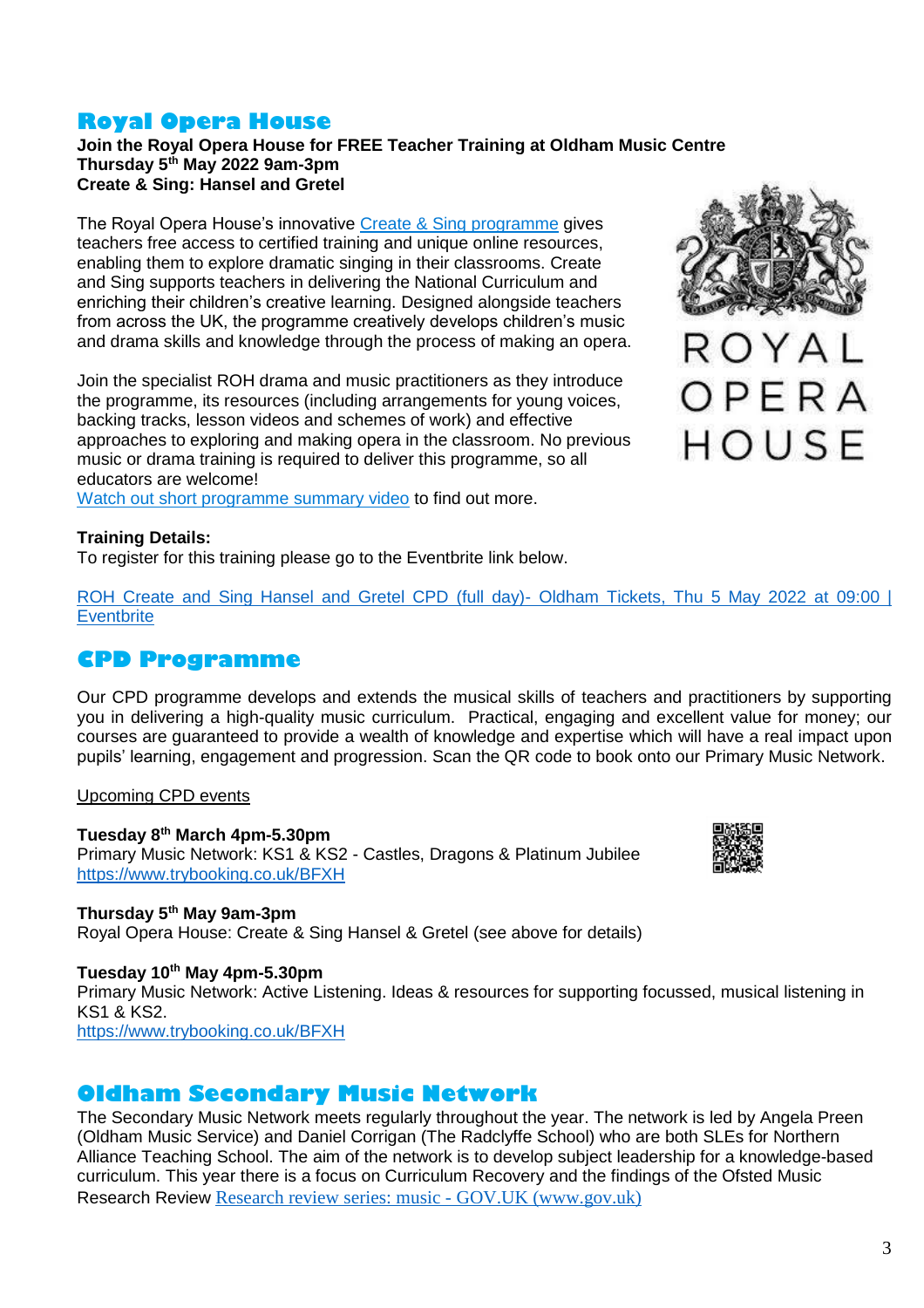## **Royal Opera House**

#### **Join the Royal Opera House for FREE Teacher Training at Oldham Music Centre Thursday 5th May 2022 9am-3pm Create & Sing: Hansel and Gretel**

The Royal Opera House's innovative [Create & Sing programme](https://learning-platform.roh.org.uk/opera) gives teachers free access to certified training and unique online resources, enabling them to explore dramatic singing in their classrooms. Create and Sing supports teachers in delivering the National Curriculum and enriching their children's creative learning. Designed alongside teachers from across the UK, the programme creatively develops children's music and drama skills and knowledge through the process of making an opera.

Join the specialist ROH drama and music practitioners as they introduce the programme, its resources (including arrangements for young voices, backing tracks, lesson videos and schemes of work) and effective approaches to exploring and making opera in the classroom. No previous music or drama training is required to deliver this programme, so all educators are welcome!

[Watch out short programme summary video](https://www.youtube.com/watch?v=WZJbDzA51eI&t=4s) to find out more.



ROYAL OPERA HOUSE

#### **Training Details:**

To register for this training please go to the Eventbrite link below.

[ROH Create and Sing Hansel and Gretel CPD \(full day\)-](https://www.eventbrite.co.uk/e/roh-create-and-sing-hansel-and-gretel-cpd-full-day-oldham-tickets-208497721297) Oldham Tickets, Thu 5 May 2022 at 09:00 | **[Eventbrite](https://www.eventbrite.co.uk/e/roh-create-and-sing-hansel-and-gretel-cpd-full-day-oldham-tickets-208497721297)** 

## **CPD Programme**

Our CPD programme develops and extends the musical skills of teachers and practitioners by supporting you in delivering a high-quality music curriculum. Practical, engaging and excellent value for money; our courses are guaranteed to provide a wealth of knowledge and expertise which will have a real impact upon pupils' learning, engagement and progression. Scan the QR code to book onto our Primary Music Network.

#### Upcoming CPD events

**Tuesday 8 th March 4pm-5.30pm** Primary Music Network: KS1 & KS2 - Castles, Dragons & Platinum Jubilee <https://www.trybooking.co.uk/BFXH>



**Thursday 5th May 9am-3pm**

Royal Opera House: Create & Sing Hansel & Gretel (see above for details)

**Tuesday 10th May 4pm-5.30pm**

Primary Music Network: Active Listening. Ideas & resources for supporting focussed, musical listening in KS1 & KS2.

<https://www.trybooking.co.uk/BFXH>

## **Oldham Secondary Music Network**

The Secondary Music Network meets regularly throughout the year. The network is led by Angela Preen (Oldham Music Service) and Daniel Corrigan (The Radclyffe School) who are both SLEs for Northern Alliance Teaching School. The aim of the network is to develop subject leadership for a knowledge-based curriculum. This year there is a focus on Curriculum Recovery and the findings of the Ofsted Music Research Review [Research review series: music -](https://www.gov.uk/government/publications/research-review-series-music) GOV.UK (www.gov.uk)